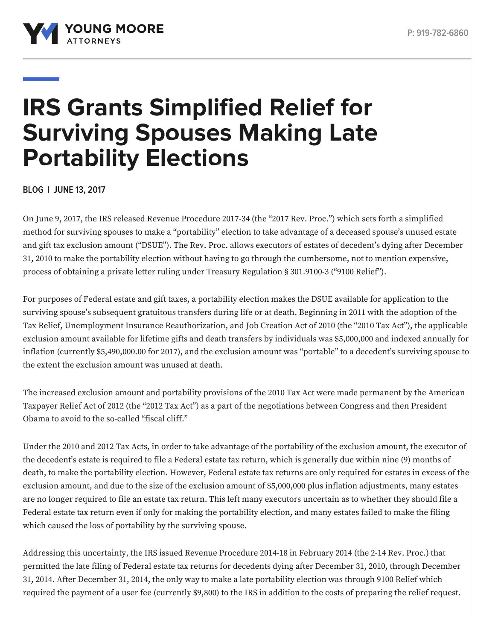

# **IRS Grants Simplified Relief for Surviving Spouses Making Late Portability Elections**

**BLOG | JUNE 13, 2017**

On June 9, 2017, the IRS released Revenue Procedure 2017-34 (the "2017 Rev. Proc.") which sets forth a simplified method for surviving spouses to make a "portability" election to take advantage of a deceased spouse's unused estate and gift tax exclusion amount ("DSUE"). The Rev. Proc. allows executors of estates of decedent's dying after December 31, 2010 to make the portability election without having to go through the cumbersome, not to mention expensive, process of obtaining a private letter ruling under Treasury Regulation § 301.9100-3 ("9100 Relief").

For purposes of Federal estate and gift taxes, a portability election makes the DSUE available for application to the surviving spouse's subsequent gratuitous transfers during life or at death. Beginning in 2011 with the adoption of the Tax Relief, Unemployment Insurance Reauthorization, and Job Creation Act of 2010 (the "2010 Tax Act"), the applicable exclusion amount available for lifetime gifts and death transfers by individuals was \$5,000,000 and indexed annually for inflation (currently \$5,490,000.00 for 2017), and the exclusion amount was "portable" to a decedent's surviving spouse to the extent the exclusion amount was unused at death.

The increased exclusion amount and portability provisions of the 2010 Tax Act were made permanent by the American Taxpayer Relief Act of 2012 (the "2012 Tax Act") as a part of the negotiations between Congress and then President Obama to avoid to the so-called "fiscal cliff."

Under the 2010 and 2012 Tax Acts, in order to take advantage of the portability of the exclusion amount, the executor of the decedent's estate is required to file a Federal estate tax return, which is generally due within nine (9) months of death, to make the portability election. However, Federal estate tax returns are only required for estates in excess of the exclusion amount, and due to the size of the exclusion amount of \$5,000,000 plus inflation adjustments, many estates are no longer required to file an estate tax return. This left many executors uncertain as to whether they should file a Federal estate tax return even if only for making the portability election, and many estates failed to make the filing which caused the loss of portability by the surviving spouse.

Addressing this uncertainty, the IRS issued Revenue Procedure 2014-18 in February 2014 (the 2-14 Rev. Proc.) that permitted the late filing of Federal estate tax returns for decedents dying after December 31, 2010, through December 31, 2014. After December 31, 2014, the only way to make a late portability election was through 9100 Relief which required the payment of a user fee (currently \$9,800) to the IRS in addition to the costs of preparing the relief request.